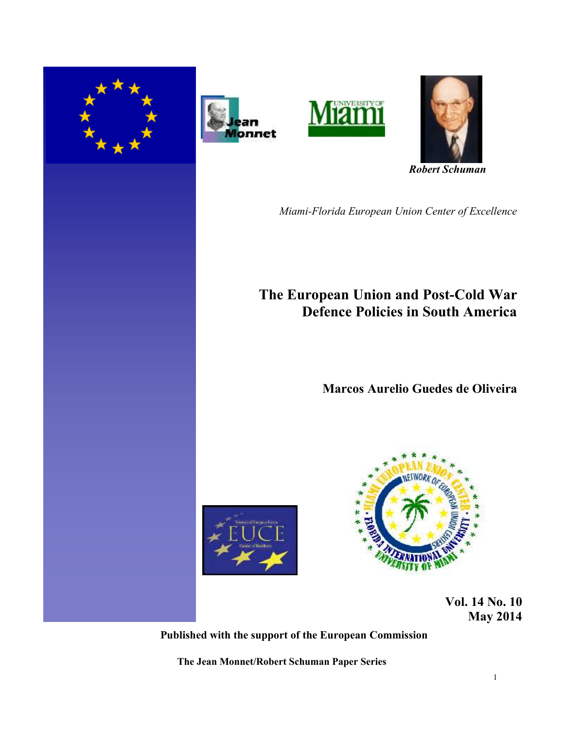







 *Robert Schuman* 

*Miami-Florida European Union Center of Excellence*

# **The European Union and Post-Cold War Defence Policies in South America**

# **Marcos Aurelio Guedes de Oliveira**





 **Vol. 14 No. 10 May 2014** 

**Published with the support of the European Commission**

**The Jean Monnet/Robert Schuman Paper Series**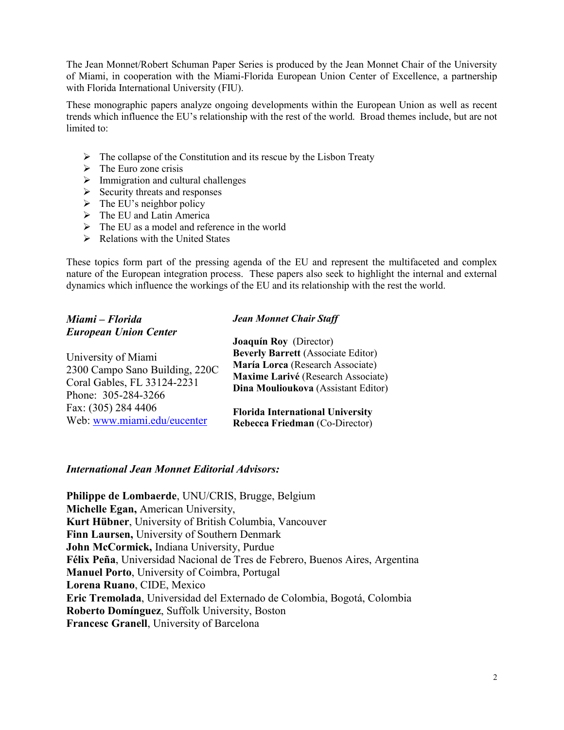The Jean Monnet/Robert Schuman Paper Series is produced by the Jean Monnet Chair of the University of Miami, in cooperation with the Miami-Florida European Union Center of Excellence, a partnership with Florida International University (FIU).

These monographic papers analyze ongoing developments within the European Union as well as recent trends which influence the EU's relationship with the rest of the world. Broad themes include, but are not limited to:

- $\triangleright$  The collapse of the Constitution and its rescue by the Lisbon Treaty
- $\triangleright$  The Euro zone crisis
- $\triangleright$  Immigration and cultural challenges
- $\triangleright$  Security threats and responses
- $\triangleright$  The EU's neighbor policy
- $\triangleright$  The EU and Latin America
- $\triangleright$  The EU as a model and reference in the world
- $\triangleright$  Relations with the United States

These topics form part of the pressing agenda of the EU and represent the multifaceted and complex nature of the European integration process. These papers also seek to highlight the internal and external dynamics which influence the workings of the EU and its relationship with the rest the world.

| Miami – Florida                | <b>Jean Monnet Chair Staff</b>            |
|--------------------------------|-------------------------------------------|
| <b>European Union Center</b>   | Joaquín Roy (Director)                    |
| University of Miami            | <b>Beverly Barrett (Associate Editor)</b> |
| 2300 Campo Sano Building, 220C | María Lorca (Research Associate)          |
| Coral Gables, FL 33124-2231    | Maxime Larivé (Research Associate)        |
| Phone: 305-284-3266            | Dina Moulioukova (Assistant Editor)       |
| Fax: (305) 284 4406            | <b>Florida International University</b>   |
| Web: www.miami.edu/eucenter    | Rebecca Friedman (Co-Director)            |

## *International Jean Monnet Editorial Advisors:*

**Philippe de Lombaerde**, UNU/CRIS, Brugge, Belgium **Michelle Egan,** American University, **Kurt Hübner**, University of British Columbia, Vancouver **Finn Laursen,** University of Southern Denmark **John McCormick,** Indiana University, Purdue **Félix Peña**, Universidad Nacional de Tres de Febrero, Buenos Aires, Argentina **Manuel Porto**, University of Coimbra, Portugal **Lorena Ruano**, CIDE, Mexico **Eric Tremolada**, Universidad del Externado de Colombia, Bogotá, Colombia **Roberto Domínguez**, Suffolk University, Boston **Francesc Granell**, University of Barcelona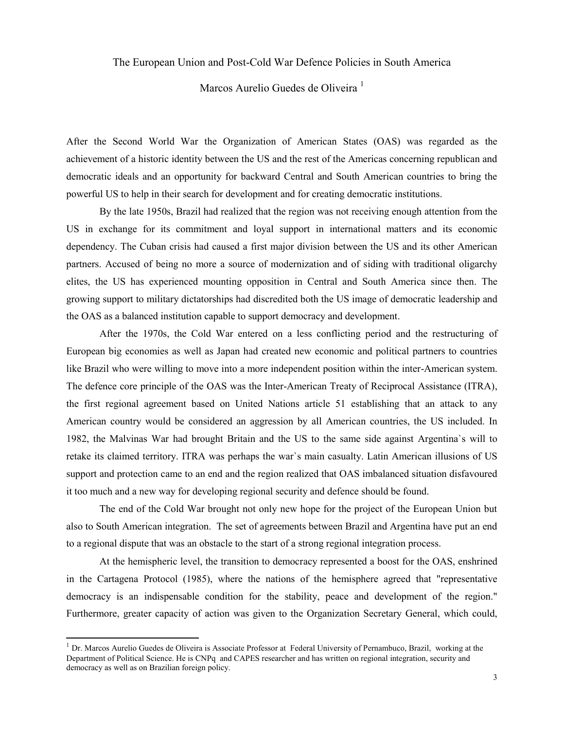The European Union and Post-Cold War Defence Policies in South America

Marcos Aurelio Guedes de Oliveira<sup>1</sup>

After the Second World War the Organization of American States (OAS) was regarded as the achievement of a historic identity between the US and the rest of the Americas concerning republican and democratic ideals and an opportunity for backward Central and South American countries to bring the powerful US to help in their search for development and for creating democratic institutions.

By the late 1950s, Brazil had realized that the region was not receiving enough attention from the US in exchange for its commitment and loyal support in international matters and its economic dependency. The Cuban crisis had caused a first major division between the US and its other American partners. Accused of being no more a source of modernization and of siding with traditional oligarchy elites, the US has experienced mounting opposition in Central and South America since then. The growing support to military dictatorships had discredited both the US image of democratic leadership and the OAS as a balanced institution capable to support democracy and development.

After the 1970s, the Cold War entered on a less conflicting period and the restructuring of European big economies as well as Japan had created new economic and political partners to countries like Brazil who were willing to move into a more independent position within the inter-American system. The defence core principle of the OAS was the Inter-American Treaty of Reciprocal Assistance (ITRA), the first regional agreement based on United Nations article 51 establishing that an attack to any American country would be considered an aggression by all American countries, the US included. In 1982, the Malvinas War had brought Britain and the US to the same side against Argentina`s will to retake its claimed territory. ITRA was perhaps the war`s main casualty. Latin American illusions of US support and protection came to an end and the region realized that OAS imbalanced situation disfavoured it too much and a new way for developing regional security and defence should be found.

The end of the Cold War brought not only new hope for the project of the European Union but also to South American integration. The set of agreements between Brazil and Argentina have put an end to a regional dispute that was an obstacle to the start of a strong regional integration process.

At the hemispheric level, the transition to democracy represented a boost for the OAS, enshrined in the Cartagena Protocol (1985), where the nations of the hemisphere agreed that "representative democracy is an indispensable condition for the stability, peace and development of the region." Furthermore, greater capacity of action was given to the Organization Secretary General, which could,

l

<sup>&</sup>lt;sup>1</sup> Dr. Marcos Aurelio Guedes de Oliveira is Associate Professor at Federal University of Pernambuco, Brazil, working at the Department of Political Science. He is CNPq and CAPES researcher and has written on regional integration, security and democracy as well as on Brazilian foreign policy.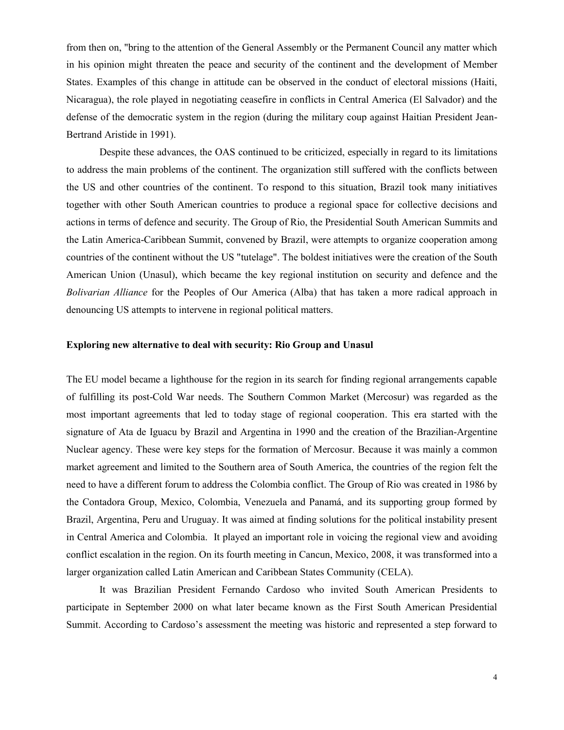from then on, "bring to the attention of the General Assembly or the Permanent Council any matter which in his opinion might threaten the peace and security of the continent and the development of Member States. Examples of this change in attitude can be observed in the conduct of electoral missions (Haiti, Nicaragua), the role played in negotiating ceasefire in conflicts in Central America (El Salvador) and the defense of the democratic system in the region (during the military coup against Haitian President Jean-Bertrand Aristide in 1991).

Despite these advances, the OAS continued to be criticized, especially in regard to its limitations to address the main problems of the continent. The organization still suffered with the conflicts between the US and other countries of the continent. To respond to this situation, Brazil took many initiatives together with other South American countries to produce a regional space for collective decisions and actions in terms of defence and security. The Group of Rio, the Presidential South American Summits and the Latin America-Caribbean Summit, convened by Brazil, were attempts to organize cooperation among countries of the continent without the US "tutelage". The boldest initiatives were the creation of the South American Union (Unasul), which became the key regional institution on security and defence and the *Bolivarian Alliance* for the Peoples of Our America (Alba) that has taken a more radical approach in denouncing US attempts to intervene in regional political matters.

### **Exploring new alternative to deal with security: Rio Group and Unasul**

The EU model became a lighthouse for the region in its search for finding regional arrangements capable of fulfilling its post-Cold War needs. The Southern Common Market (Mercosur) was regarded as the most important agreements that led to today stage of regional cooperation. This era started with the signature of Ata de Iguacu by Brazil and Argentina in 1990 and the creation of the Brazilian-Argentine Nuclear agency. These were key steps for the formation of Mercosur. Because it was mainly a common market agreement and limited to the Southern area of South America, the countries of the region felt the need to have a different forum to address the Colombia conflict. The Group of Rio was created in 1986 by the Contadora Group, Mexico, Colombia, Venezuela and Panamá, and its supporting group formed by Brazil, Argentina, Peru and Uruguay. It was aimed at finding solutions for the political instability present in Central America and Colombia. It played an important role in voicing the regional view and avoiding conflict escalation in the region. On its fourth meeting in Cancun, Mexico, 2008, it was transformed into a larger organization called Latin American and Caribbean States Community (CELA).

It was Brazilian President Fernando Cardoso who invited South American Presidents to participate in September 2000 on what later became known as the First South American Presidential Summit. According to Cardoso's assessment the meeting was historic and represented a step forward to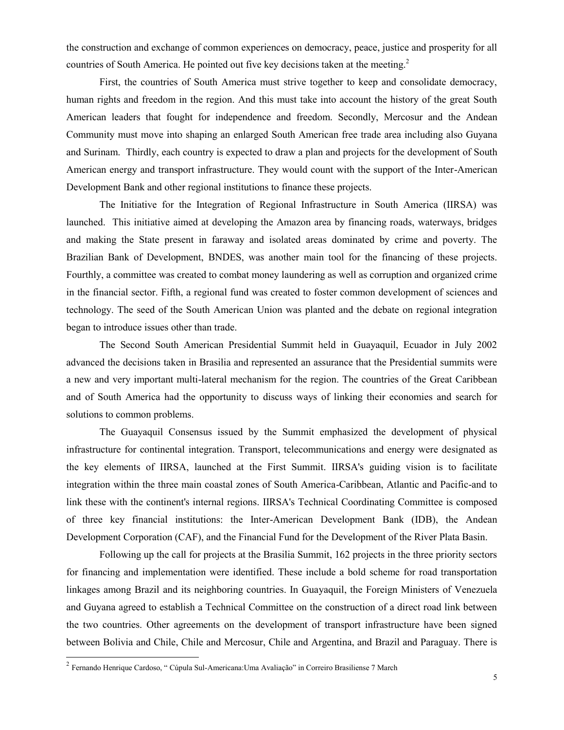the construction and exchange of common experiences on democracy, peace, justice and prosperity for all countries of South America. He pointed out five key decisions taken at the meeting.<sup>2</sup>

First, the countries of South America must strive together to keep and consolidate democracy, human rights and freedom in the region. And this must take into account the history of the great South American leaders that fought for independence and freedom. Secondly, Mercosur and the Andean Community must move into shaping an enlarged South American free trade area including also Guyana and Surinam. Thirdly, each country is expected to draw a plan and projects for the development of South American energy and transport infrastructure. They would count with the support of the Inter-American Development Bank and other regional institutions to finance these projects.

The Initiative for the Integration of Regional Infrastructure in South America (IIRSA) was launched. This initiative aimed at developing the Amazon area by financing roads, waterways, bridges and making the State present in faraway and isolated areas dominated by crime and poverty. The Brazilian Bank of Development, BNDES, was another main tool for the financing of these projects. Fourthly, a committee was created to combat money laundering as well as corruption and organized crime in the financial sector. Fifth, a regional fund was created to foster common development of sciences and technology. The seed of the South American Union was planted and the debate on regional integration began to introduce issues other than trade.

The Second South American Presidential Summit held in Guayaquil, Ecuador in July 2002 advanced the decisions taken in Brasilia and represented an assurance that the Presidential summits were a new and very important multi-lateral mechanism for the region. The countries of the Great Caribbean and of South America had the opportunity to discuss ways of linking their economies and search for solutions to common problems.

The Guayaquil Consensus issued by the Summit emphasized the development of physical infrastructure for continental integration. Transport, telecommunications and energy were designated as the key elements of IIRSA, launched at the First Summit. IIRSA's guiding vision is to facilitate integration within the three main coastal zones of South America-Caribbean, Atlantic and Pacific-and to link these with the continent's internal regions. IIRSA's Technical Coordinating Committee is composed of three key financial institutions: the Inter-American Development Bank (IDB), the Andean Development Corporation (CAF), and the Financial Fund for the Development of the River Plata Basin.

Following up the call for projects at the Brasilia Summit, 162 projects in the three priority sectors for financing and implementation were identified. These include a bold scheme for road transportation linkages among Brazil and its neighboring countries. In Guayaquil, the Foreign Ministers of Venezuela and Guyana agreed to establish a Technical Committee on the construction of a direct road link between the two countries. Other agreements on the development of transport infrastructure have been signed between Bolivia and Chile, Chile and Mercosur, Chile and Argentina, and Brazil and Paraguay. There is

<sup>&</sup>lt;sup>2</sup><br><sup>2</sup> Fernando Henrique Cardoso, " Cúpula Sul-Americana:Uma Avaliação" in Correiro Brasiliense 7 March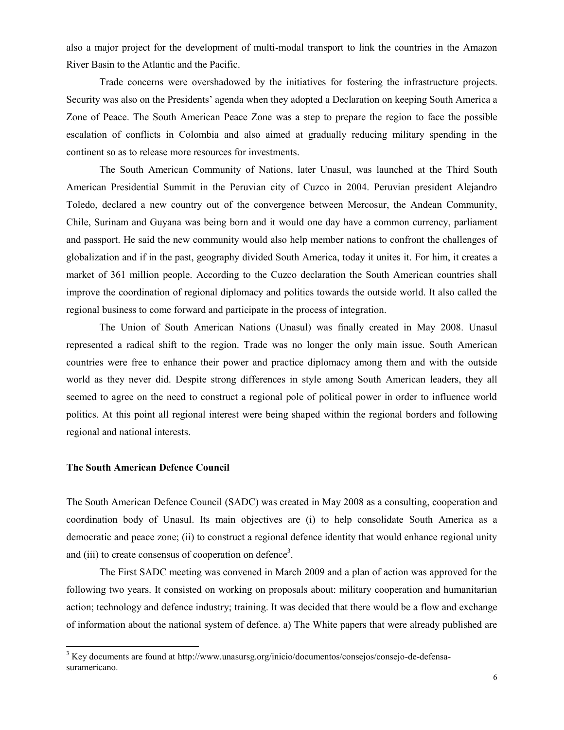also a major project for the development of multi-modal transport to link the countries in the Amazon River Basin to the Atlantic and the Pacific.

Trade concerns were overshadowed by the initiatives for fostering the infrastructure projects. Security was also on the Presidents' agenda when they adopted a Declaration on keeping South America a Zone of Peace. The South American Peace Zone was a step to prepare the region to face the possible escalation of conflicts in Colombia and also aimed at gradually reducing military spending in the continent so as to release more resources for investments.

The South American Community of Nations, later Unasul, was launched at the Third South American Presidential Summit in the Peruvian city of Cuzco in 2004. Peruvian president Alejandro Toledo, declared a new country out of the convergence between Mercosur, the Andean Community, Chile, Surinam and Guyana was being born and it would one day have a common currency, parliament and passport. He said the new community would also help member nations to confront the challenges of globalization and if in the past, geography divided South America, today it unites it. For him, it creates a market of 361 million people. According to the Cuzco declaration the South American countries shall improve the coordination of regional diplomacy and politics towards the outside world. It also called the regional business to come forward and participate in the process of integration.

The Union of South American Nations (Unasul) was finally created in May 2008. Unasul represented a radical shift to the region. Trade was no longer the only main issue. South American countries were free to enhance their power and practice diplomacy among them and with the outside world as they never did. Despite strong differences in style among South American leaders, they all seemed to agree on the need to construct a regional pole of political power in order to influence world politics. At this point all regional interest were being shaped within the regional borders and following regional and national interests.

#### **The South American Defence Council**

 $\overline{a}$ 

The South American Defence Council (SADC) was created in May 2008 as a consulting, cooperation and coordination body of Unasul. Its main objectives are (i) to help consolidate South America as a democratic and peace zone; (ii) to construct a regional defence identity that would enhance regional unity and (iii) to create consensus of cooperation on defence<sup>3</sup>.

The First SADC meeting was convened in March 2009 and a plan of action was approved for the following two years. It consisted on working on proposals about: military cooperation and humanitarian action; technology and defence industry; training. It was decided that there would be a flow and exchange of information about the national system of defence. a) The White papers that were already published are

<sup>3</sup> Key documents are found at [http://www.unasursg.org/inicio/documentos/consejos/consejo-de-defensa](http://www.unasursg.org/inicio/documentos/consejos/consejo-de-defensa-suramericano)[suramericano.](http://www.unasursg.org/inicio/documentos/consejos/consejo-de-defensa-suramericano)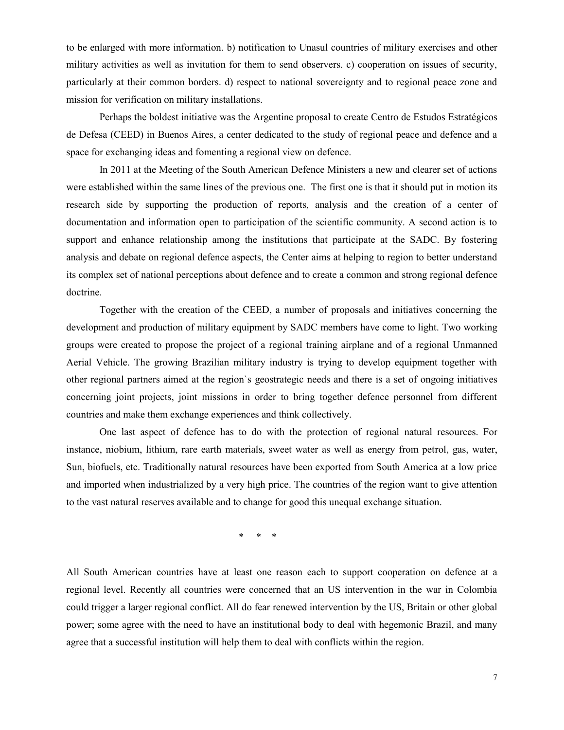to be enlarged with more information. b) notification to Unasul countries of military exercises and other military activities as well as invitation for them to send observers. c) cooperation on issues of security, particularly at their common borders. d) respect to national sovereignty and to regional peace zone and mission for verification on military installations.

Perhaps the boldest initiative was the Argentine proposal to create Centro de Estudos Estratégicos de Defesa (CEED) in Buenos Aires, a center dedicated to the study of regional peace and defence and a space for exchanging ideas and fomenting a regional view on defence.

In 2011 at the Meeting of the South American Defence Ministers a new and clearer set of actions were established within the same lines of the previous one. The first one is that it should put in motion its research side by supporting the production of reports, analysis and the creation of a center of documentation and information open to participation of the scientific community. A second action is to support and enhance relationship among the institutions that participate at the SADC. By fostering analysis and debate on regional defence aspects, the Center aims at helping to region to better understand its complex set of national perceptions about defence and to create a common and strong regional defence doctrine.

Together with the creation of the CEED, a number of proposals and initiatives concerning the development and production of military equipment by SADC members have come to light. Two working groups were created to propose the project of a regional training airplane and of a regional Unmanned Aerial Vehicle. The growing Brazilian military industry is trying to develop equipment together with other regional partners aimed at the region`s geostrategic needs and there is a set of ongoing initiatives concerning joint projects, joint missions in order to bring together defence personnel from different countries and make them exchange experiences and think collectively.

One last aspect of defence has to do with the protection of regional natural resources. For instance, niobium, lithium, rare earth materials, sweet water as well as energy from petrol, gas, water, Sun, biofuels, etc. Traditionally natural resources have been exported from South America at a low price and imported when industrialized by a very high price. The countries of the region want to give attention to the vast natural reserves available and to change for good this unequal exchange situation.

\* \* \*

All South American countries have at least one reason each to support cooperation on defence at a regional level. Recently all countries were concerned that an US intervention in the war in Colombia could trigger a larger regional conflict. All do fear renewed intervention by the US, Britain or other global power; some agree with the need to have an institutional body to deal with hegemonic Brazil, and many agree that a successful institution will help them to deal with conflicts within the region.